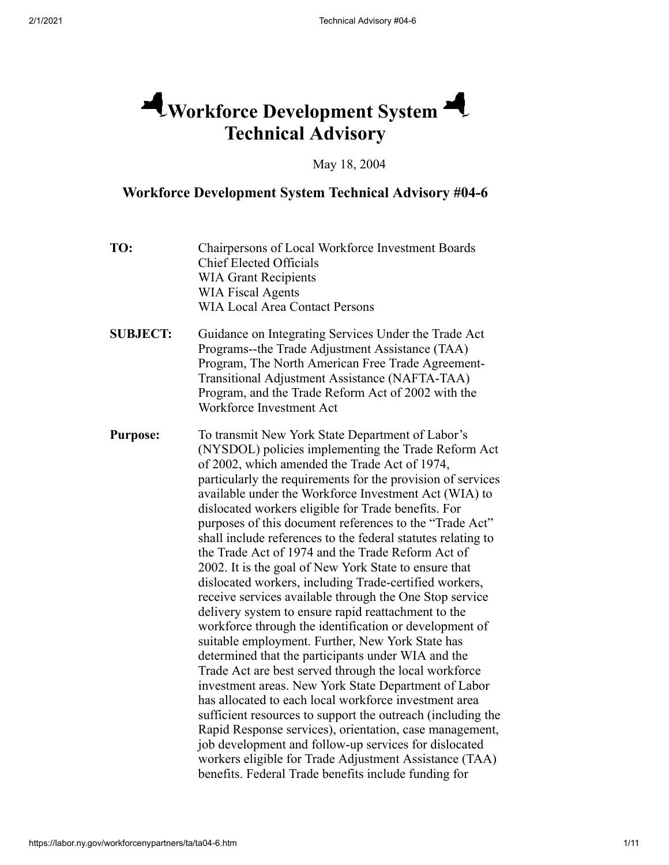# **Workforce Development System Technical Advisory**

May 18, 2004

## **Workforce Development System Technical Advisory #04-6**

| TO:             | Chairpersons of Local Workforce Investment Boards<br><b>Chief Elected Officials</b><br><b>WIA Grant Recipients</b><br><b>WIA Fiscal Agents</b><br><b>WIA Local Area Contact Persons</b>                                                                                                                                                                                                                                                                                                                                                                                                                                                                                                                                                                                                                                                                                                                                                                                                                                                                                                                                                                                                                                                                                                                                                                                                                         |
|-----------------|-----------------------------------------------------------------------------------------------------------------------------------------------------------------------------------------------------------------------------------------------------------------------------------------------------------------------------------------------------------------------------------------------------------------------------------------------------------------------------------------------------------------------------------------------------------------------------------------------------------------------------------------------------------------------------------------------------------------------------------------------------------------------------------------------------------------------------------------------------------------------------------------------------------------------------------------------------------------------------------------------------------------------------------------------------------------------------------------------------------------------------------------------------------------------------------------------------------------------------------------------------------------------------------------------------------------------------------------------------------------------------------------------------------------|
| <b>SUBJECT:</b> | Guidance on Integrating Services Under the Trade Act<br>Programs--the Trade Adjustment Assistance (TAA)<br>Program, The North American Free Trade Agreement-<br>Transitional Adjustment Assistance (NAFTA-TAA)<br>Program, and the Trade Reform Act of 2002 with the<br>Workforce Investment Act                                                                                                                                                                                                                                                                                                                                                                                                                                                                                                                                                                                                                                                                                                                                                                                                                                                                                                                                                                                                                                                                                                                |
| <b>Purpose:</b> | To transmit New York State Department of Labor's<br>(NYSDOL) policies implementing the Trade Reform Act<br>of 2002, which amended the Trade Act of 1974,<br>particularly the requirements for the provision of services<br>available under the Workforce Investment Act (WIA) to<br>dislocated workers eligible for Trade benefits. For<br>purposes of this document references to the "Trade Act"<br>shall include references to the federal statutes relating to<br>the Trade Act of 1974 and the Trade Reform Act of<br>2002. It is the goal of New York State to ensure that<br>dislocated workers, including Trade-certified workers,<br>receive services available through the One Stop service<br>delivery system to ensure rapid reattachment to the<br>workforce through the identification or development of<br>suitable employment. Further, New York State has<br>determined that the participants under WIA and the<br>Trade Act are best served through the local workforce<br>investment areas. New York State Department of Labor<br>has allocated to each local workforce investment area<br>sufficient resources to support the outreach (including the<br>Rapid Response services), orientation, case management,<br>job development and follow-up services for dislocated<br>workers eligible for Trade Adjustment Assistance (TAA)<br>benefits. Federal Trade benefits include funding for |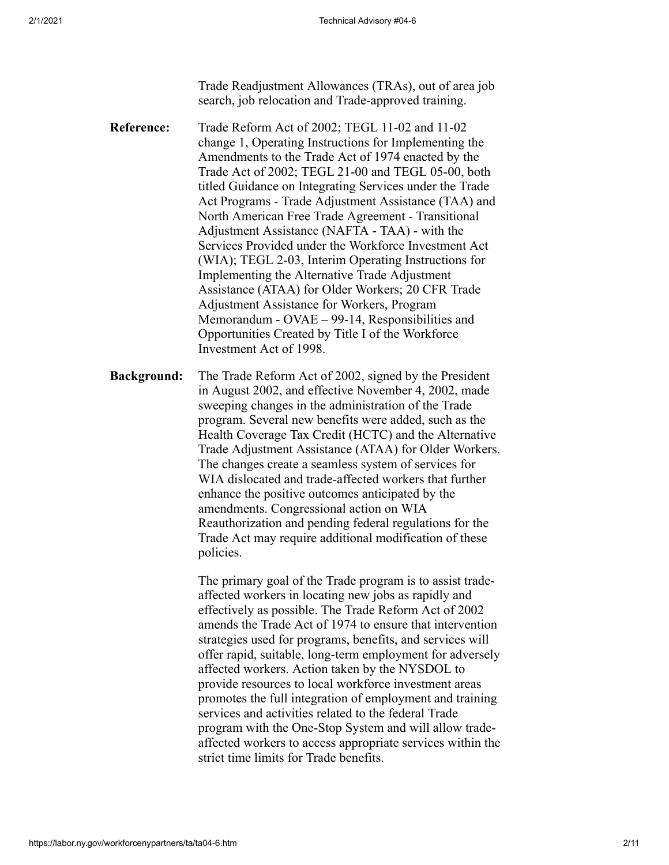Trade Readjustment Allowances (TRAs), out of area job search, job relocation and Trade-approved training.

- **Reference:** Trade Reform Act of 2002; TEGL 11-02 and 11-02 change 1, Operating Instructions for Implementing the Amendments to the Trade Act of 1974 enacted by the Trade Act of 2002; TEGL 21-00 and TEGL 05-00, both titled Guidance on Integrating Services under the Trade Act Programs - Trade Adjustment Assistance (TAA) and North American Free Trade Agreement - Transitional Adjustment Assistance (NAFTA - TAA) - with the Services Provided under the Workforce Investment Act (WIA); TEGL 2-03, Interim Operating Instructions for Implementing the Alternative Trade Adjustment Assistance (ATAA) for Older Workers; 20 CFR Trade Adjustment Assistance for Workers, Program Memorandum - OVAE – 99-14, Responsibilities and Opportunities Created by Title I of the Workforce Investment Act of 1998.
- **Background:** The Trade Reform Act of 2002, signed by the President in August 2002, and effective November 4, 2002, made sweeping changes in the administration of the Trade program. Several new benefits were added, such as the Health Coverage Tax Credit (HCTC) and the Alternative Trade Adjustment Assistance (ATAA) for Older Workers. The changes create a seamless system of services for WIA dislocated and trade-affected workers that further enhance the positive outcomes anticipated by the amendments. Congressional action on WIA Reauthorization and pending federal regulations for the Trade Act may require additional modification of these policies.

The primary goal of the Trade program is to assist tradeaffected workers in locating new jobs as rapidly and effectively as possible. The Trade Reform Act of 2002 amends the Trade Act of 1974 to ensure that intervention strategies used for programs, benefits, and services will offer rapid, suitable, long-term employment for adversely affected workers. Action taken by the NYSDOL to provide resources to local workforce investment areas promotes the full integration of employment and training services and activities related to the federal Trade program with the One-Stop System and will allow tradeaffected workers to access appropriate services within the strict time limits for Trade benefits.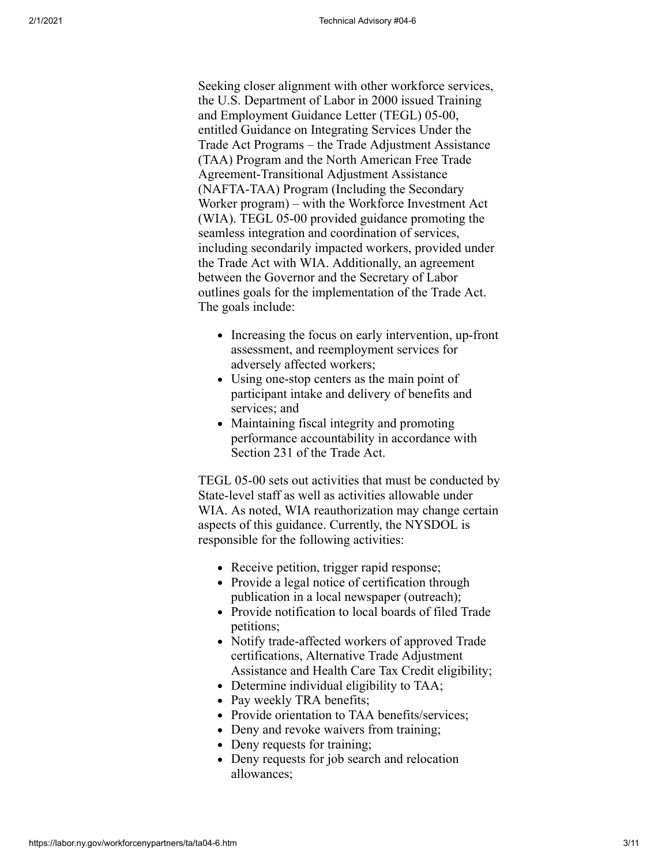Seeking closer alignment with other workforce services, the U.S. Department of Labor in 2000 issued Training and Employment Guidance Letter (TEGL) 05-00, entitled Guidance on Integrating Services Under the Trade Act Programs – the Trade Adjustment Assistance (TAA) Program and the North American Free Trade Agreement-Transitional Adjustment Assistance (NAFTA-TAA) Program (Including the Secondary Worker program) – with the Workforce Investment Act (WIA). TEGL 05-00 provided guidance promoting the seamless integration and coordination of services, including secondarily impacted workers, provided under the Trade Act with WIA. Additionally, an agreement between the Governor and the Secretary of Labor outlines goals for the implementation of the Trade Act. The goals include:

- Increasing the focus on early intervention, up-front assessment, and reemployment services for adversely affected workers;
- Using one-stop centers as the main point of participant intake and delivery of benefits and services; and
- Maintaining fiscal integrity and promoting performance accountability in accordance with Section 231 of the Trade Act.

TEGL 05-00 sets out activities that must be conducted by State-level staff as well as activities allowable under WIA. As noted, WIA reauthorization may change certain aspects of this guidance. Currently, the NYSDOL is responsible for the following activities:

- Receive petition, trigger rapid response;
- Provide a legal notice of certification through publication in a local newspaper (outreach);
- Provide notification to local boards of filed Trade petitions;
- Notify trade-affected workers of approved Trade certifications, Alternative Trade Adjustment Assistance and Health Care Tax Credit eligibility;
- Determine individual eligibility to TAA;
- Pay weekly TRA benefits;
- Provide orientation to TAA benefits/services;
- Deny and revoke waivers from training;
- Deny requests for training;
- Deny requests for job search and relocation allowances;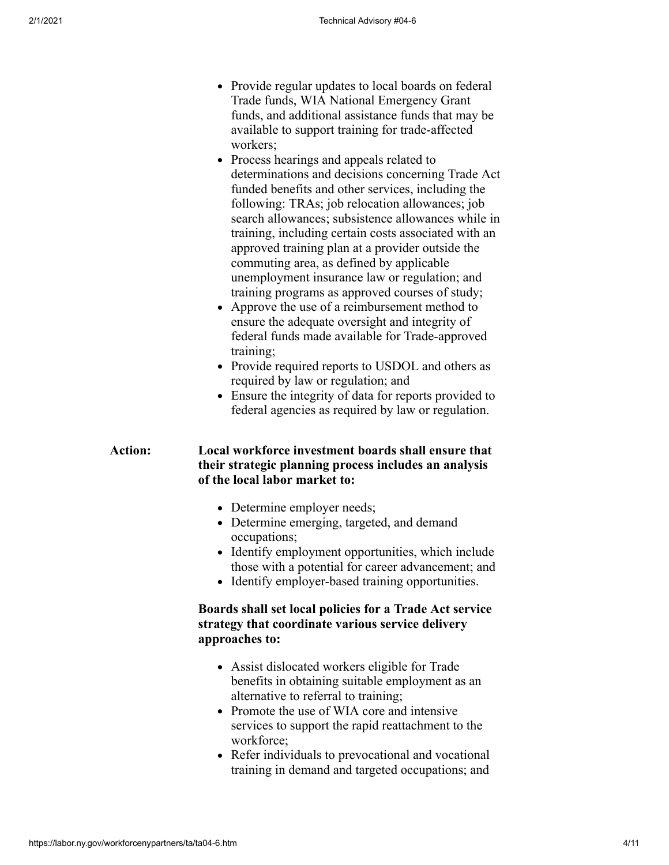- Provide regular updates to local boards on federal Trade funds, WIA National Emergency Grant funds, and additional assistance funds that may be available to support training for trade-affected workers;
- Process hearings and appeals related to determinations and decisions concerning Trade Act funded benefits and other services, including the following: TRAs; job relocation allowances; job search allowances; subsistence allowances while in training, including certain costs associated with an approved training plan at a provider outside the commuting area, as defined by applicable unemployment insurance law or regulation; and training programs as approved courses of study;
- Approve the use of a reimbursement method to ensure the adequate oversight and integrity of federal funds made available for Trade-approved training;
- Provide required reports to USDOL and others as required by law or regulation; and
- Ensure the integrity of data for reports provided to federal agencies as required by law or regulation.

#### **Action: Local workforce investment boards shall ensure that their strategic planning process includes an analysis of the local labor market to:**

- Determine employer needs;
- Determine emerging, targeted, and demand occupations;
- Identify employment opportunities, which include those with a potential for career advancement; and
- Identify employer-based training opportunities.

#### **Boards shall set local policies for a Trade Act service strategy that coordinate various service delivery approaches to:**

- Assist dislocated workers eligible for Trade benefits in obtaining suitable employment as an alternative to referral to training;
- Promote the use of WIA core and intensive services to support the rapid reattachment to the workforce;
- Refer individuals to prevocational and vocational training in demand and targeted occupations; and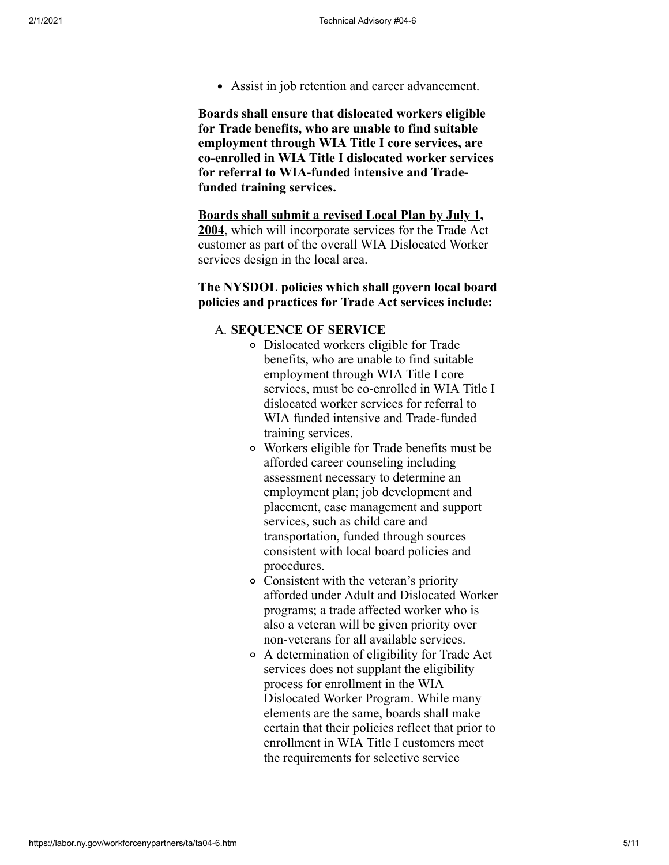Assist in job retention and career advancement.

**Boards shall ensure that dislocated workers eligible for Trade benefits, who are unable to find suitable employment through WIA Title I core services, are co-enrolled in WIA Title I dislocated worker services for referral to WIA-funded intensive and Tradefunded training services.**

**Boards shall submit a revised Local Plan by July 1, 2004**, which will incorporate services for the Trade Act customer as part of the overall WIA Dislocated Worker services design in the local area.

#### **The NYSDOL policies which shall govern local board policies and practices for Trade Act services include:**

#### A. **SEQUENCE OF SERVICE**

- Dislocated workers eligible for Trade benefits, who are unable to find suitable employment through WIA Title I core services, must be co-enrolled in WIA Title I dislocated worker services for referral to WIA funded intensive and Trade-funded training services.
- Workers eligible for Trade benefits must be afforded career counseling including assessment necessary to determine an employment plan; job development and placement, case management and support services, such as child care and transportation, funded through sources consistent with local board policies and procedures.
- Consistent with the veteran's priority afforded under Adult and Dislocated Worker programs; a trade affected worker who is also a veteran will be given priority over non-veterans for all available services.
- A determination of eligibility for Trade Act services does not supplant the eligibility process for enrollment in the WIA Dislocated Worker Program. While many elements are the same, boards shall make certain that their policies reflect that prior to enrollment in WIA Title I customers meet the requirements for selective service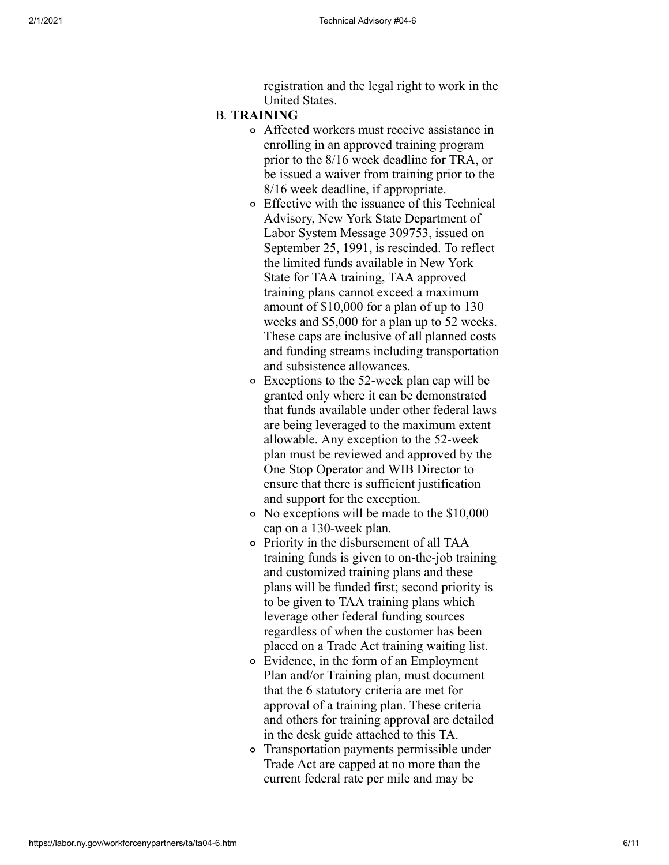registration and the legal right to work in the United States.

#### B. **TRAINING**

- Affected workers must receive assistance in enrolling in an approved training program prior to the 8/16 week deadline for TRA, or be issued a waiver from training prior to the 8/16 week deadline, if appropriate.
- Effective with the issuance of this Technical Advisory, New York State Department of Labor System Message 309753, issued on September 25, 1991, is rescinded. To reflect the limited funds available in New York State for TAA training, TAA approved training plans cannot exceed a maximum amount of \$10,000 for a plan of up to 130 weeks and \$5,000 for a plan up to 52 weeks. These caps are inclusive of all planned costs and funding streams including transportation and subsistence allowances.
- Exceptions to the 52-week plan cap will be granted only where it can be demonstrated that funds available under other federal laws are being leveraged to the maximum extent allowable. Any exception to the 52-week plan must be reviewed and approved by the One Stop Operator and WIB Director to ensure that there is sufficient justification and support for the exception.
- No exceptions will be made to the \$10,000 cap on a 130-week plan.
- Priority in the disbursement of all TAA training funds is given to on-the-job training and customized training plans and these plans will be funded first; second priority is to be given to TAA training plans which leverage other federal funding sources regardless of when the customer has been placed on a Trade Act training waiting list.
- Evidence, in the form of an Employment Plan and/or Training plan, must document that the 6 statutory criteria are met for approval of a training plan. These criteria and others for training approval are detailed in the desk guide attached to this TA.
- Transportation payments permissible under Trade Act are capped at no more than the current federal rate per mile and may be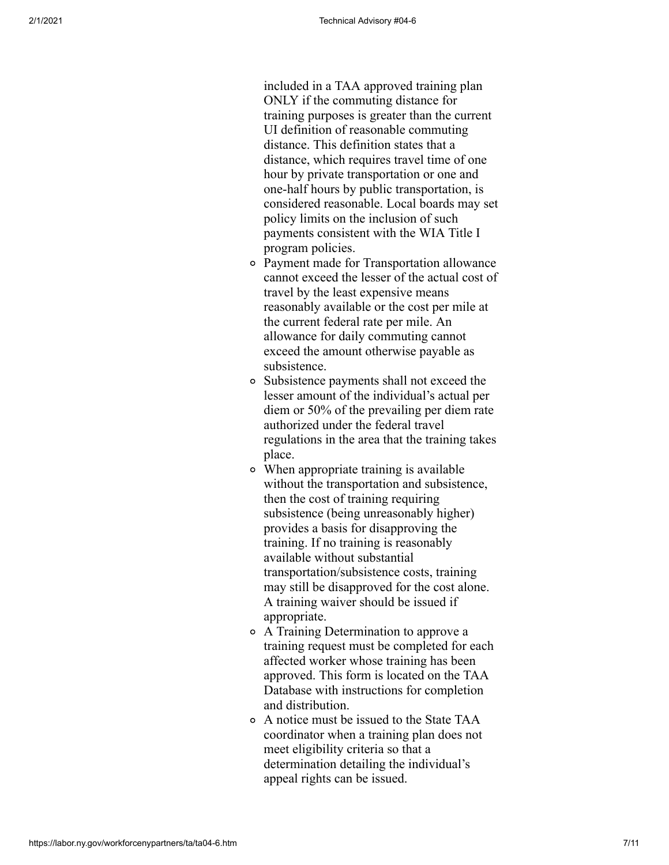included in a TAA approved training plan ONLY if the commuting distance for training purposes is greater than the current UI definition of reasonable commuting distance. This definition states that a distance, which requires travel time of one hour by private transportation or one and one-half hours by public transportation, is considered reasonable. Local boards may set policy limits on the inclusion of such payments consistent with the WIA Title I program policies.

- Payment made for Transportation allowance cannot exceed the lesser of the actual cost of travel by the least expensive means reasonably available or the cost per mile at the current federal rate per mile. An allowance for daily commuting cannot exceed the amount otherwise payable as subsistence.
- Subsistence payments shall not exceed the lesser amount of the individual's actual per diem or 50% of the prevailing per diem rate authorized under the federal travel regulations in the area that the training takes place.
- When appropriate training is available without the transportation and subsistence, then the cost of training requiring subsistence (being unreasonably higher) provides a basis for disapproving the training. If no training is reasonably available without substantial transportation/subsistence costs, training may still be disapproved for the cost alone. A training waiver should be issued if appropriate.
- A Training Determination to approve a training request must be completed for each affected worker whose training has been approved. This form is located on the TAA Database with instructions for completion and distribution.
- A notice must be issued to the State TAA coordinator when a training plan does not meet eligibility criteria so that a determination detailing the individual's appeal rights can be issued.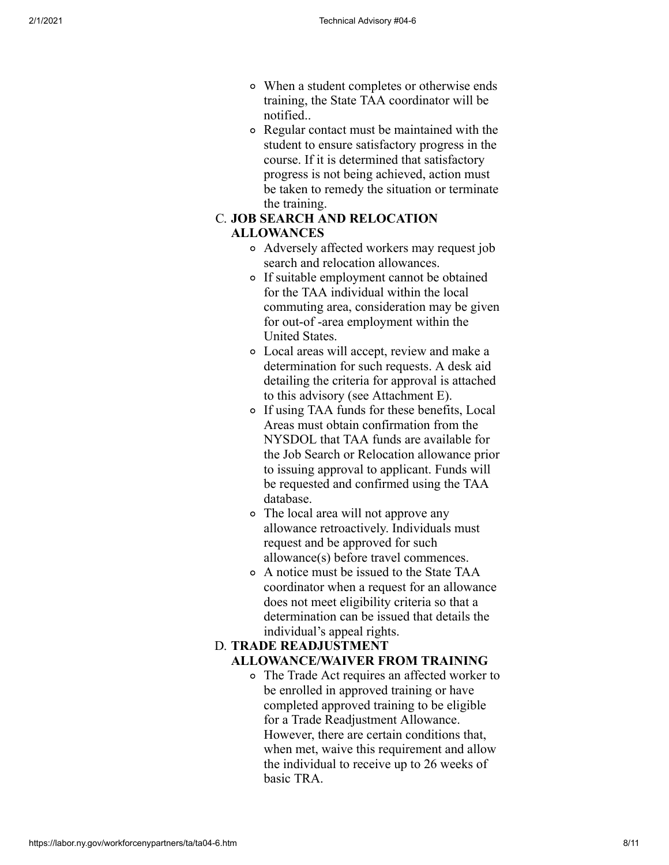- When a student completes or otherwise ends training, the State TAA coordinator will be notified..
- Regular contact must be maintained with the student to ensure satisfactory progress in the course. If it is determined that satisfactory progress is not being achieved, action must be taken to remedy the situation or terminate the training.

#### C. **JOB SEARCH AND RELOCATION ALLOWANCES**

- Adversely affected workers may request job search and relocation allowances.
- If suitable employment cannot be obtained for the TAA individual within the local commuting area, consideration may be given for out-of -area employment within the United States.
- Local areas will accept, review and make a determination for such requests. A desk aid detailing the criteria for approval is attached to this advisory (see Attachment E).
- If using TAA funds for these benefits, Local Areas must obtain confirmation from the NYSDOL that TAA funds are available for the Job Search or Relocation allowance prior to issuing approval to applicant. Funds will be requested and confirmed using the TAA database.
- The local area will not approve any allowance retroactively. Individuals must request and be approved for such allowance(s) before travel commences.
- A notice must be issued to the State TAA coordinator when a request for an allowance does not meet eligibility criteria so that a determination can be issued that details the individual's appeal rights.

#### D. **TRADE READJUSTMENT ALLOWANCE/WAIVER FROM TRAINING**

The Trade Act requires an affected worker to be enrolled in approved training or have completed approved training to be eligible for a Trade Readjustment Allowance. However, there are certain conditions that, when met, waive this requirement and allow the individual to receive up to 26 weeks of basic TRA.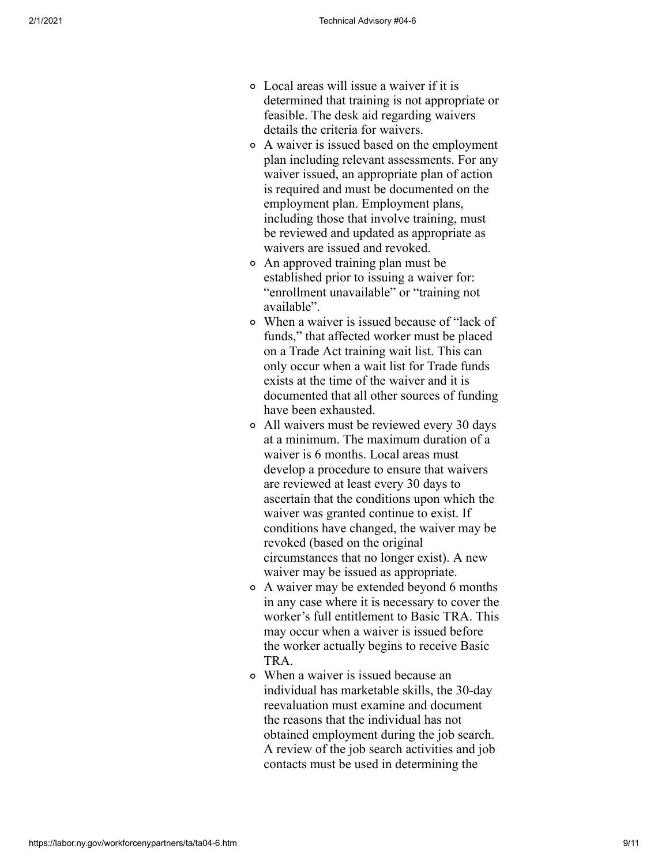- Local areas will issue a waiver if it is determined that training is not appropriate or feasible. The desk aid regarding waivers details the criteria for waivers.
- A waiver is issued based on the employment plan including relevant assessments. For any waiver issued, an appropriate plan of action is required and must be documented on the employment plan. Employment plans, including those that involve training, must be reviewed and updated as appropriate as waivers are issued and revoked.
- An approved training plan must be established prior to issuing a waiver for: "enrollment unavailable" or "training not available".
- When a waiver is issued because of "lack of funds," that affected worker must be placed on a Trade Act training wait list. This can only occur when a wait list for Trade funds exists at the time of the waiver and it is documented that all other sources of funding have been exhausted.
- All waivers must be reviewed every 30 days at a minimum. The maximum duration of a waiver is 6 months. Local areas must develop a procedure to ensure that waivers are reviewed at least every 30 days to ascertain that the conditions upon which the waiver was granted continue to exist. If conditions have changed, the waiver may be revoked (based on the original circumstances that no longer exist). A new waiver may be issued as appropriate.
- A waiver may be extended beyond 6 months in any case where it is necessary to cover the worker's full entitlement to Basic TRA. This may occur when a waiver is issued before the worker actually begins to receive Basic TRA.
- When a waiver is issued because an individual has marketable skills, the 30-day reevaluation must examine and document the reasons that the individual has not obtained employment during the job search. A review of the job search activities and job contacts must be used in determining the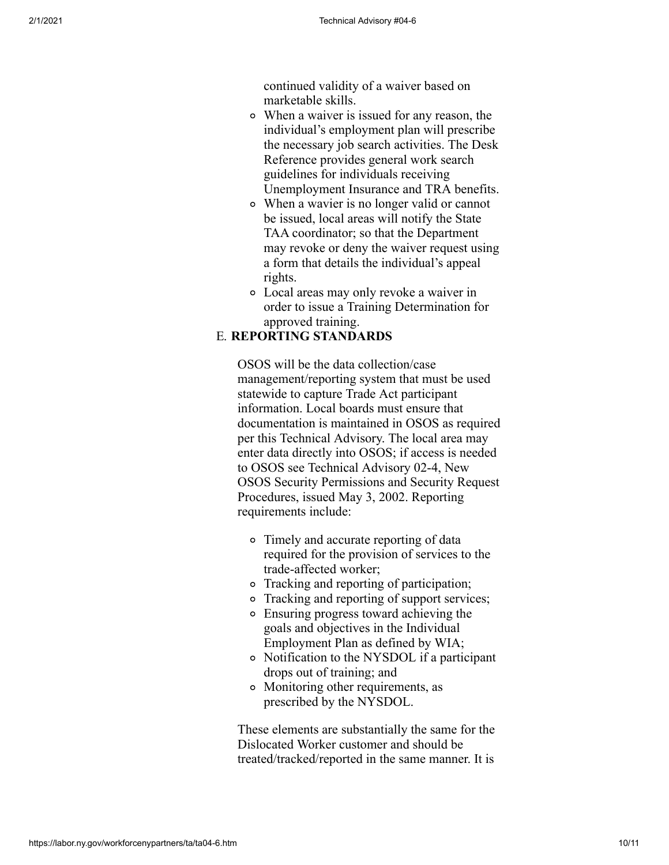continued validity of a waiver based on marketable skills.

- When a waiver is issued for any reason, the individual's employment plan will prescribe the necessary job search activities. The Desk Reference provides general work search guidelines for individuals receiving Unemployment Insurance and TRA benefits.
- When a wavier is no longer valid or cannot be issued, local areas will notify the State TAA coordinator; so that the Department may revoke or deny the waiver request using a form that details the individual's appeal rights.
- Local areas may only revoke a waiver in order to issue a Training Determination for approved training.

### E. **REPORTING STANDARDS**

OSOS will be the data collection/case management/reporting system that must be used statewide to capture Trade Act participant information. Local boards must ensure that documentation is maintained in OSOS as required per this Technical Advisory. The local area may enter data directly into OSOS; if access is needed to OSOS see Technical Advisory 02-4, New OSOS Security Permissions and Security Request Procedures, issued May 3, 2002. Reporting requirements include:

- Timely and accurate reporting of data required for the provision of services to the trade-affected worker;
- Tracking and reporting of participation;
- Tracking and reporting of support services;
- Ensuring progress toward achieving the goals and objectives in the Individual Employment Plan as defined by WIA;
- Notification to the NYSDOL if a participant drops out of training; and
- Monitoring other requirements, as prescribed by the NYSDOL.

These elements are substantially the same for the Dislocated Worker customer and should be treated/tracked/reported in the same manner. It is